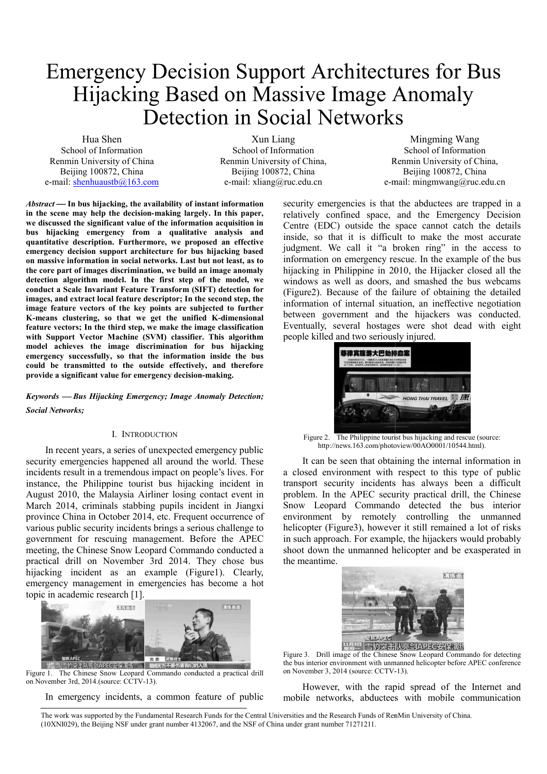# Emergency Decision Support Architectures for Bus Hijacking Based on Massive Image Anomaly Detection in Social Networks<br>Xun Liang Mingming Wang

Hua Shen School of Information Renmin University of China Beijing 100872, China e-mail: shenhuaustb@163.com

Xun Liang School of Information Renmin University of China, Beijing 100872, China e-mail: xliang@ruc.edu.cn

Renmin University of China, e-mail: mingmwang@ruc.edu.cn School of Information Beijing 100872, China

*Abstract* **In bus hijacking, the availability of instant information in the scene may help the decision-making largely largely. In this paper, we discussed the significant value of the information acquisition in bus hijacking emergency from a qualitative analysis and quantitative description. Furthermore, we propose proposed an effective emergency decision support architecture for bus hijacking based on massive information in social networks. Last but not least, a s. as to the core part of images discrimination, we build an image anomaly detection algorithm model. In the first step of the model, we conduct a Scale Invariant Feature Transform (SIFT) detection for images, and extract local feature descriptor; In the second step, the image feature vectors of the key points are subjected to further**  K-means clustering, so that we get the unified K-dimensional **feature vectors; In the third step, we make the image classificat classification with Support Vector Machine (SVM) classifier. This algorithm model achieves the image discrimination for bus hijacking emergency successfully, so that the information inside the bus could be transmitted to the outside effectively, and therefore provide a significant value for emergency decision e decision-making.**

*Keywords Bus Hijacking Emergency; Image Anomaly Detection Detection; Social Networks;*

#### I. INTRODUCTION

In recent years, a series of unexpected emergency public security emergencies happened all around the world. These incidents result in a tremendous impact on people's lives. For instance, the Philippine tourist bus hijacking incident in August 2010, the Malaysia Airliner losing contact event in March 2014, criminals stabbing pupils incident in Jiangxi province China in October 2014, etc. Frequent occurrence of various public security incidents brings a serious challenge to government for rescuing management. Before the APEC meeting, the Chinese Snow Leopard Commando conducted a practical drill on November 3rd 2014. They chose bus hijacking incident as an example (Figure1) (Figure1). Clearly, emergency management in emergencies has become a hot topic in academic research [1].



Figure 1. The Chinese Snow Leopard Commando conducted a practical drill on November 3rd, 2014.(source: CCTV-13).

In emergency incidents, a common feature of public

security emergencies is that the abductees are trapped in a relatively confined space, and the Emergency Decision Centre (EDC) outside the space cannot catch the details inside, so that it is difficult to make the most accurate inside, so that it is difficult to make the most accurate judgment. We call it "a broken ring" in the access to information on emergency rescue. In the example of the bus hijacking in Philippine in 2010, the Hijacker closed all the windows as well as doors, and smashed the bus webcams windows as well as doors, and smashed the bus webcams (Figure2). Because of the failure of obtaining the detailed information of internal situation, an ineffective negotiation between government and the hijackers was conducted. Eventually, several hostages were shot dead with eight people killed and two seriously injured.



Figure 2. The Philippine tourist bus hijacking and rescue (source: http://news.163.com/photoview/00AO0001/10544.html http://news.163.com/photoview/00AO0001/10544.html).

It can be seen that obtaining the internal information in a closed environment with respect to this type of public transport security incidents has always been a difficult problem. In the APEC security practical drill, the Chinese Snow Leopard Commando detected the bus interior environment by remotely controlling the unmanned helicopter (Figure3), however it still remained a lot of risks helicopter (Figure3), however it still remained a lot of risks in such approach. For example, the hijackers would probably shoot down the unmanned helicopter and be exasperated in the meantime.



**HAPP ENDERTHAN APPLE 31**<br>Figure 3. Drill image of the Chinese Snow Leopard Commando for detecting the bus interior environment with unmanned helicopter before APEC conference on November 3, 2014 (source: CCTV-13).

However, with the rapid spread of the Internet and However, with the rapid spread of the Internet and mobile networks, abductees with mobile communication

The work was supported by the Fundamental Research Funds for the Central Universities and the Research Funds of RenMin University of China. (10XNI029), the Beijing NSF under grant number 4132067, and the NSF of China under grant number 71271211.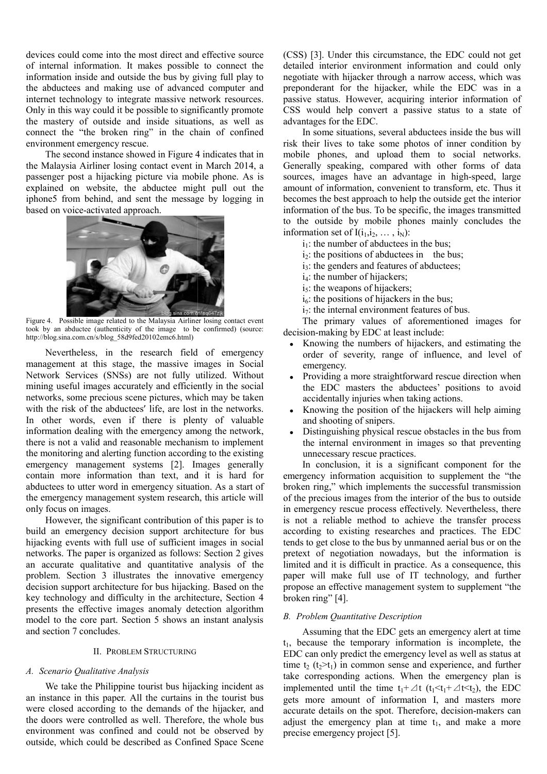devices could come into the most direct and effective source of internal information. It makes possible to connect the information inside and outside the bus by giving full play to the abductees and making use of advanced computer and internet technology to integrate massive network resources. Only in this way could it be possible to significantly promote the mastery of outside and inside situations, as well as connect the "the broken ring" in the chain of confined environment emergency rescue.

The second instance showed in Figure 4 indicates that in the Malaysia Airliner losing contact event in March 2014 2014, a passenger post a hijacking picture via mobile phone. As is explained on website, the abductee might pull out the iphone5 from behind, and sent the message by logging in based on voice-activated approach.



Figure 4. Possible image related to the Malaysia Airliner losing contact event took by an abductee (authenticity of the image to be confirmed) (source: http://blog.sina.com.cn/s/blog\_58d9fed20102emc6.html)

Nevertheless, in the research field of emergency Nevertheless, in the research field of emergency management at this stage, the massive images in Social Network Services (SNSs) are not fully utilized. Without mining useful images accurately and efficiently in the social networks, some precious scene pictures, which may be taken with the risk of the abductees' life, are lost in the networks. In other words, even if there is plenty of valuable information dealing with the emergency among the network, there is not a valid and reasonable mechanism to implement the monitoring and alerting function according to the existing emergency management systems [2]. Images generally contain more information than text, and it is hard for abductees to utter word in emergency situation. As a start of the emergency management system research, this article will only focus on images. a valid and reasonable mechanism to implement<br>ing and alerting function according to the existing<br>management systems [2]. Images generally<br>re information than text, and it is hard for<br>outter word in emergency situation. As

However, the significant contribution of this paper is to build an emergency decision support architecture for bus hijacking events with full use of sufficient images in social networks. The paper is organized as follows: Section 2 an accurate qualitative and quantitative analysis of the problem. Section 3 illustrates the innovative emergency decision support architecture for bus hijacking. Based on the key technology and difficulty in the architecture, Section 4 presents the effective images anomaly detection algorithm model to the core part. Section 5 shows an instant analysis and section 7 concludes.

# II. PROBLEM STRUCTURING

# *A. Scenario Qualitative Analysis*

We take the Philippine tourist bus hijacking incident as an instance in this paper. All the curtains in the tourist bus an instance in this paper. All the curtains in the tourist bus were closed according to the demands of the hijacker, and the doors were controlled as well. Therefore, the whole bus environment was confined and could not be observed by outside, which could be described as Confined Space Scene

detailed interior environment information and could only detailed interior environment information and could only<br>negotiate with hijacker through a narrow access, which was preponderant for the hijacker, while the EDC was in a passive status. However, acquiring interior information of CSS would help convert a passive status to a state of CSS would help convert a passive status to a state of advantages for the EDC. (CSS) [3]. Under this circumstance, the EDC could not get

In some situations, several abductees inside the bus will risk their lives to take some photos of inner condition by mobile phones, and upload them to social networks. Generally speaking, compared with other forms of data sources, images have an advantage in high-speed, large amount of information, convenient to transform, etc. Thus it becomes the best approach to help the outside get the interior information of the bus. To be specific, the images transmitted to the outside by mobile phones m mainly concludes the information set of  $I(i_1, i_2, \ldots, i_N)$ :

- $i_1$ : the number of abductees in the bus;
- $i_2$ : the positions of abductees in the bus;
- i<sub>3</sub>: the genders and features of abductees;
- i<sub>4</sub>: the number of hijackers;
- $i_5$ : the weapons of hijackers;
- $i<sub>6</sub>$ ; the positions of hijackers in the bus; : the positions of abductees in the bus;<br>checkers; the penders and features of abductees;<br>the number of hijackers;<br>the weapons of hijackers;<br>the positions of hijackers in the bus;
- $i_7$ : the internal environment features of bus.

The primary values of aforementioned images for decision-making by EDC at least include:

- Knowing the numbers of hijackers, and estimating the order of severity, range of influence, and level of emergency.
- Providing a more straightforward rescue direction when the EDC masters the abductees' positions to avoid accidentally injuries when taking actions.
- Knowing the position of the hijackers will help aiming and shooting of snipers.
- Distinguishing physical rescue obstacles in the bus from the internal environment in images so that preventing unnecessary rescue practices practices.

d effective sources<br>
(CSS) [3]. Under this circumstance<br>
de to connect the destinable interior environment infor<br>
elvel to connect the destinable with higheder through a method<br>
ed computer and proponderant for the highed In conclusion, it is a significant component for the emergency information acquisition to supplement the "the broken ring," which implements the successful transmission of the precious images from the interior of the bus to outside of the precious images from the interior of the bus to outside in emergency rescue process effectively. Nevertheless, there is not a reliable method to achieve the transfer process is not a reliable method to achieve the transfer process according to existing researches and practices. The EDC tends to get close to the bus by unmanned aerial bus or on the pretext of negotiation nowadays, but the information is limited and it is difficult in practice. As a consequence, this paper will make full use of IT technology, and further propose an effective management system to supplement "the broken ring" [4].

# *B. Problem Quantitative Description escription*

Assuming that the EDC gets an emergency alert at time  $t_1$ , because the temporary information is incomplete, the EDC can only predict the emergency level as well as status at time  $t_2$  ( $t_2>t_1$ ) in common sense and experience, and further time  $t_2$  ( $t_2$ > $t_1$ ) in common sense and experience, and further take corresponding actions. When the emergency plan is implemented until the time  $t_1 + \Delta t$  ( $t_1 < t_1 + \Delta t < t_2$ ), the EDC gets more amount of information I, and masters more accurate details on the spot. Therefore, decision-makers can adjust the emergency plan at time  $t_1$ , and make a more precise emergency project [5].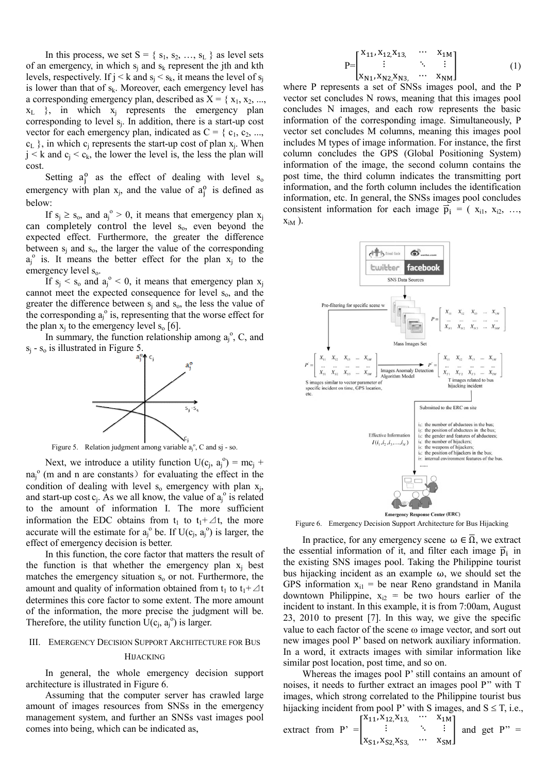In this process, we set  $S = \{s_1, s_2, ..., s_L\}$  as level sets of an emergency, in which  $s_i$  and  $s_k$  represent the jth and kth levels, respectively. If  $j \le k$  and  $s_j \le s_k$ , it means the level of  $s_j$ is lower than that of  $s_k$ . Moreover, each emergency level has a corresponding emergency plan, described as  $X = \{x_1, x_2, ...,$  $x_L$  }, in which  $x_j$  represents the emergency plan corresponding to level  $s_j$ . In addition, there is a start-up cost vector for each emergency plan, indicated as  $C = \{c_1, c_2, ...,$  $c_L$ }, in which  $c_j$  represents the start-up cost of plan  $x_j$ . When  $j < k$  and  $c_j < c_k$ , the lower the level is, the less the plan will cost.

Setting  $a_j^o$  as the effect of dealing with level  $s_o$ emergency with plan  $x_j$ , and the value of  $a_j^o$  is defined as below:

If  $s_j \geq s_o$ , and  $a_j^{\circ} > 0$ , it means that emergency plan  $x_j$ can completely control the level  $s_0$ , even beyond the expected effect. Furthermore, the greater the difference between  $s_i$  and  $s_o$ , the larger the value of the corresponding  $a_j^{\circ}$  is. It means the better effect for the plan  $x_j$  to the emergency level  $s_0$ .

If  $s_j < s_o$  and  $a_j^o < 0$ , it means that emergency plan  $x_j$ cannot meet the expected consequence for level s<sub>o</sub>, and the greater the difference between  $s_i$  and  $s_o$ , the less the value of the corresponding  $a_j^{\circ}$  is, representing that the worse effect for the plan  $x_i$  to the emergency level  $s_0$  [6]. ence between  $s_j$  and  $s_o$ , the less the<br>g  $a_j^o$  is, representing that the worse e<br>emergency level  $s_o$  [6].<br>t, the function relationship among  $a_j$ 

In summary, the function relationship among  $a_i^0$ , C, and  $s_i$  -  $s_o$  is illustrated in Figure 5.



Figure 5. Relation judgment among variable  $a_j^{\circ}$ , C and sj - so.

Next, we introduce a utility function  $U(c_j, a_j^{\circ}) = mc_j +$  $na_j^{\circ}$  (m and n are constants) for evaluating the effect in the condition of dealing with level  $s_0$  emergency with plan  $x_j$ , and start-up cost  $c_j$ . As we all know, the value of  $a_j^{\circ}$  is related to the amount of information I. The more sufficient information the EDC obtains from  $t_1$  to  $t_1 + \Delta t$ , the more accurate will the estimate for  $a_j^{\circ}$  be. If  $U(c_j, a_j^{\circ})$  is larger, the effect of emergency decision is better.

In this function, the core factor that matters the result of the function is that whether the emergency plan  $x_j$  best matches the emergency situation  $s_0$  or not. Furthermore, the matches the emergency situation  $s_0$  or not. Furthermore, the amount and quality of information obtained from  $t_1$  to  $t_1 + \Delta t$ determines this core factor to some extent. The more amount of the information, the more precise the judgment will be. Therefore, the utility function  $\hat{U}(c_j, a_j^{\circ})$  is larger.

# III. EMERGENCY DECISION SUPPORT ARCHITECTURE FOR BUS

# HIJACKING

In general, the whole emergency decision support architecture is illustrated in Figure 6.

Assuming that the computer server has crawled large amount of images resources from SNSs in the emergency management system, and further an SNSs vast images pool comes into being, which can be indicated as,

$$
P = \begin{bmatrix} x_{11}, x_{12}, x_{13}, & \cdots & x_{1M} \\ \vdots & & \ddots & \vdots \\ x_{N1}, x_{N2}, x_{N3}, & \cdots & x_{NM} \end{bmatrix}
$$
 (1)

where P represents a set of SNSs images pool, and the P where P represents a set of SNSs images pool, and the P vector set concludes N rows, meaning that this images pool concludes N images, and each row represents the basic information of the corresponding image. Simultaneously, P vector set concludes M columns, meaning this images pool includes M types of image information. For instance, the first column concludes the GPS (Global Positioning System) information of the image, the second column contains the post time, the third column indicates the transmitting port information, and the forth column includes the identification information, etc. In general, the SNSs images pool concludes consistent information for each image  $\vec{p}_i$  = ( $x_{i1}, x_{i2}, ...,$  $x_{iM}$ ). des N images, and each row represents the basic ation of the corresponding image. Simultaneously, P set concludes M columns, meaning this images pool includes M types of image information. For instance, the first column concludes the GPS (Global Positioning System) information of the image, the second column contains the post time, the third column indicates the transmitting port information, and the forth column includes the identification information, etc. In general, the SNSs images pool concludes



Figure 6. Emergency Decision Support Architecture for Bus Hijacking

gure 6. Emergency Decision Support Architecture for Bus Hijacking<br>In practice, for any emergency scene  $\omega \in \overline{\Omega}$ , we extract the essential information of it, and filter each image  $\vec{p}_i$  in the existing SNS images pool. Taking the Philippine tourist bus hijacking incident as an example  $\omega$ , we should set the GPS information  $x_{i1}$  = be near Reno grandstand in Manila downtown Philippine,  $x_{i2}$  = be two hours earlier of the incident to instant. In this example, it is from 7:00am, August 23, 2010 to present [7]. In this way, we give the specific value to each factor of the scene  $\omega$  image vector, and sort out new images pool P' based on network auxiliary information. In a word, it extracts images with similar information like similar post location, post time, and so on.

Whereas the images pool P' still contains an amount of noises, it needs to further extract an images pool P'' with T images, which strong correlated to the Philippine tourist bus hijacking incident from pool P' with S images, and  $S \le T$ , i.e.,

\n extract from \n 
$$
P' =\n \begin{bmatrix}\n x_{11}, x_{12}, x_{13}, \cdots, x_{1M} \\
 \vdots, \vdots, \vdots \\
 x_{S1}, x_{S2}, x_{S3}, \cdots, x_{SM}\n \end{bmatrix}
$$
\n and \n get \n  $P'' =$ \n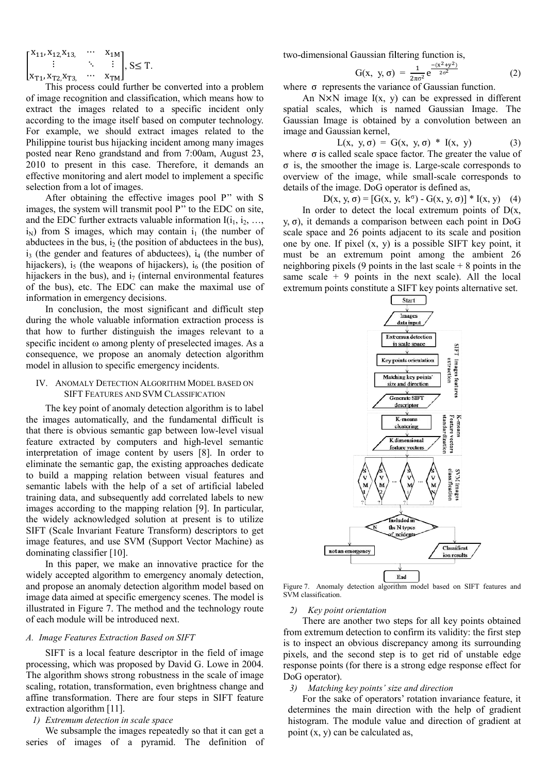$$
\begin{bmatrix} x_{11},x_{12},x_{13},&\cdots&x_{1M}\\ \vdots&\ddots&\vdots\\ x_{T1},x_{T2},x_{T3},&\cdots&x_{TM} \end{bmatrix},\ S{\leq T}.
$$

This process could further be converted into a problem of image recognition and classification, which means how to extract the images related to a specific incident only according to the image itself based on computer technology. For example, we should extract images related to the Philippine tourist bus hijacking incident among many images posted near Reno grandstand and from 7:00 7:00am, August 23, 2010 to present in this case. Therefore, it demands an effective monitoring and alert model to implement a specific selection from a lot of images.

After obtaining the effective images pool P'' with S images, the system will transmit pool P" to the EDC on site, and the EDC further extracts valuable information  $I(i_1, i_2, \ldots, i_n)$  $i_N$ ) from S images, which may contain  $i_1$  (the number of abductees in the bus,  $i_2$  (the position of abductees in the bus),  $i_3$  (the gender and features of abductees),  $i_4$  (the number of hijackers),  $i_5$  (the weapons of hijackers),  $i_6$  (the position of hijackers in the bus), and  $i_7$  (internal environmental features of the bus), etc. The EDC can make the maximal use of information in emergency decisions.

In conclusion, the most significant and difficult step during the whole valuable information extraction process is that how to further distinguish the images relevant to a specific incident  $\omega$  among plenty of preselected images. As a consequence, we propose an anomaly detection algorithm model in allusion to specific emergency incidents.

# IV. ANOMALY DETECTION ALGORITHM MODEL BASED ON NOMALY DETECTION ALGORITHM MODEL BA<br>SIFT FEATURES AND SVM CLASSIFICATION

The key point of anomaly detection algorithm is to label the images automatically, and the fundamental difficult is that there is obvious semantic gap between low-level visual feature extracted by computers and high-level semantic interpretation of image content by users [8]. In order to eliminate the semantic gap, the existing approaches dedicate to build a mapping relation between visual features and semantic labels with the help of a set of artificial labeled training data, and subsequently add correlated labels to new images according to the mapping relation [9]. In particular, the widely acknowledged solution at present is to utilize SIFT (Scale Invariant Feature Transform) descriptors to get SIFT (Scale Invariant Feature Transform) descriptors to get image features, and use SVM (Support Vector Machine) as dominating classifier [10].

In this paper, we make an innovative practice for the widely accepted algorithm to emergency anomaly detection, and propose an anomaly detection algorithm model based on image data aimed at specific emergency scenes. The model is illustrated in Figure 7. The method and the technology route of each module will be introduced next.

# *A. Image Features Extraction Based on SIFT*

SIFT is a local feature descriptor in the field of image processing, which was proposed by David G. Lowe in 2004. The algorithm shows strong robustness in the scale of image scaling, rotation, transformation, even brightness change and affine transformation. There are four steps in SIFT feature extraction algorithm [11].

# *1) Extremum detection in scale space*

We subsample the images repeatedly so that it can get a series of images of a pyramid. The definition of two-dimensional Gaussian filtering function is,

$$
G(x, y, \sigma) = \frac{1}{2\pi\sigma^2} e^{\frac{-(x^2 + y^2)}{2\sigma^2}}
$$
 (2)

where  $\sigma$  represents the variance of Gaussian function.

An  $N \times N$  image  $I(x, y)$  can be expressed in different spatial scales, which is named Gaussian Image. The Gaussian Image is obtained by a convolution between an image and Gaussian kernel,<br>  $L(x, y, \sigma) = G(x, y, \sigma) * I(x, y)$  (3) image and Gaussian kernel,

$$
L(x, y, \sigma) = G(x, y, \sigma) * I(x, y)
$$
 (3)

where  $\sigma$  is called scale space factor. The greater the value of where  $\sigma$  is called scale space factor. The greater the value of  $\sigma$  is, the smoother the image is. Large-scale corresponds to overview of the image, while small-scale corresponds to details of the image. DoG operator is defined as,

 $D(x, y, σ) = [G(x, y, k<sup>σ</sup>) - G(x, y, σ)] * I(x, y)$  (4)

In order to detect the local extremum points of  $D(x)$ , y, σ), it demands a comparison between each point in DoG scale space and 26 points adjacent to its scale and position one by one. If pixel (x, y) is a possible SIFT key point, it must be an extremum point among the ambient 26 neighboring pixels (9 points in the last scale  $+8$  points in the same scale  $+9$  points in the next scale). All the local extremum points constitute a SIFT key points alternative set. y,  $\sigma$ ), it demands a comparison between each point in DoG scale space and 26 points adjacent to its scale and position one by one. If pixel  $(x, y)$  is a possible SIFT key point, it must be an extremum point among the amb



Figure 7. Anomaly detection algorithm model based on SIFT features and SVM classification.

#### *2) Key point orientation*

There are another two steps for all key points obtained from extremum detection to confirm its validity: the first step is to inspect an obvious discrepancy among its surrounding pixels, and the second step is to get rid of unstable edge response points (for there is a strong edge response effect for DoG operator).

# *3) Matching key points' size and direction*

For the sake of operators' rotation invariance feature, it determines the main direction with the help of gradient histogram. The module value module and direction of gradient at point (x, y) can be calculated as,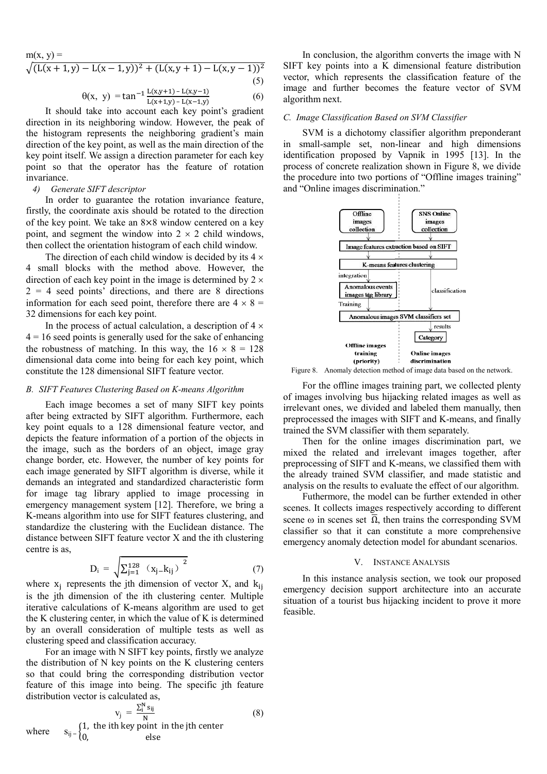$m(x, y) =$ 

$$
\sqrt{(L(x+1,y)-L(x-1,y))^2+(L(x,y+1)-L(x,y-1))^2}
$$
\n(5)

$$
\theta(x, y) = \tan^{-1} \frac{L(x, y+1) - L(x, y-1)}{L(x+1, y) - L(x-1, y)}
$$
(6)

It should take into account each key point's gradient direction in its neighboring window. However, the peak of the histogram represents the neighboring gradient's main direction of the key point, as well as the main direction of the key point itself. We assign a direction parameter for each key point so that the operator has the feature of rotation invariance.

# *4) Generate SIFT descriptor*

In order to guarantee the rotation invariance feature, firstly, the coordinate axis should be rotated to the direction of the key point. We take an 8×8 window centered on a key point, and segment the window into  $2 \times 2$  child windows, then collect the orientation histogram of each child window.

The direction of each child window is decided by its  $4 \times$ 4 small blocks with the method above. However, the direction of each key point in the image is determined by  $2 \times$  $2 = 4$  seed points' directions, and there are 8 directions information for each seed point, therefore there are  $4 \times 8 =$ 32 dimensions for each key point.

In the process of actual calculation, a description of  $4 \times$ 4 = 16 seed points is generally used for the sake of enhancing the robustness of matching. In this way, the  $16 \times 8 = 128$ dimensional data come into being for each key point, which constitute the 128 dimensional SIFT feature vector.

#### **B.** SIFT Features Clustering Based on K-means Algorithm

Each image becomes a set of many SIFT key points after being extracted by SIFT algorithm. Furthermore, each key point equals to a 128 dimensional feature vector, and depicts the feature information of a portion of the objects in the image, such as the borders of an object, image gray change border, etc. However, the number of key points for each image generated by SIFT algorithm is diverse, while it demands an integrated and standardized characteristic form for image tag library applied to image processing in emergency management system [12]. Therefore, we bring a K-means algorithm into use for SIFT features clustering, and standardize the clustering with the Euclidean distance. The K-means algorithm into use for SIFT features clustering, and<br>standardize the clustering with the Euclidean distance. The<br>distance between SIFT feature vector X and the ith clustering centre is as,

$$
D_{i} = \sqrt{\sum_{j=1}^{128} (x_{j} - k_{ij})^{2}}
$$
 (7)

where  $x_j$  represents the jth dimension of vector X, and  $k_{ij}$ is the jth dimension of the ith clustering center. Multiple iterative calculations of K-means algorithm are used to get the K clustering center, in which the value of K is determined by an overall consideration of multiple tests as well as clustering speed and classification accuracy.

For an image with N SIFT key points, firstly we analyze the distribution of  $N$  key points on the  $K$  clustering centers so that could bring the corresponding distribution vector feature of this image into being. The specific jth feature distribution vector is calculated as,

where

$$
v_{j} = \frac{\sum_{i}^{N} s_{ij}}{N}
$$
 (8)  

$$
s_{ij} = \begin{cases} 1, & \text{the ith key point in the jth center} \\ 0, & \text{else} \end{cases}
$$

In conclusion, the algorithm converts the image with N SIFT key points into a K dimensional feature distribution vector, which represents the classification feature of the image and further becomes the feature vector of SVM algorithm next. n conclusion, the algorithm converts the image with N<br>key points into a K dimensional feature distribution<br>; which represents the classification feature of the<br>and further becomes the feature vector of SVM

#### $C.$  *Image Classification Based on SVM Classifier*

SVM is a dichotomy classifier algorithm preponderant in small-sample set, non-linear and high dimensions identification proposed by Vapnik in 1995 [13]. In the process of concrete realization shown in Figure 8, we divide the procedure into two portions of "Offline images training" and "Online images discrimination."



Figure 8. Anomaly detection method of image data based on the network.

For the offline images training part, we collected plenty of images involving bus hijacking related images as well as irrelevant ones, we divided and labeled them manually, then preprocessed the images with SIFT and K-means, and finally trained the SVM classifier with them separately.

Then for the online images discrimination part, we trained the SVM classifier with them separately.<br>
Then for the online images discrimination part, we<br>
mixed the related and irrelevant images together, after preprocessing of SIFT and K-means, we classified them with the already trained SVM classifier, and made statistic and analysis on the results to evaluate the effect of our algorithm.

Futhermore, the model can be further extended in other scenes. It collects images respectively according to different scene  $\omega$  in scenes set  $\overline{\Omega}$ , then trains the corresponding SVM classifier so that it can constitute a more comprehensive classifier so that it can constitute a more comprehensive emergency anomaly detection model for abundant scenarios.

#### V. INSTANCE NSTANCE ANALYSIS

In this instance analysis section, we took our proposed emergency decision support architecture into an accurate situation of a tourist bus hijacking incident to prove it more feasible.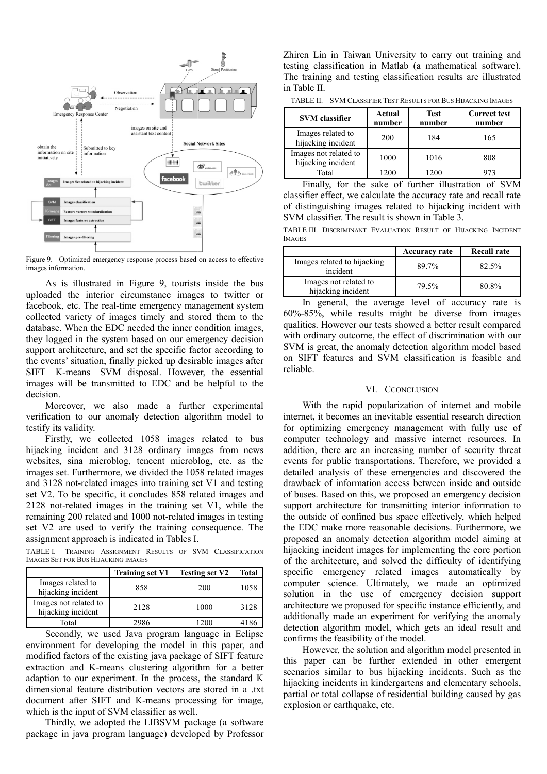

Figure 9. Optimized emergency response process based on access to effective images information.

As is illustrated in Figure 9, tourists inside the bus Figure 9. Optimized emergency response process based on access to effective images information.<br>
As is illustrated in Figure 9, tourists inside the bus uploaded the interior circumstance images to twitter or facebook, etc. The real-time emergency management system facebook, etc. The real-time emergency management system collected variety of images timely and stored them to the database. When the EDC needed the inner condition images, they logged in the system based on our emergency decision support architecture, and set the specific factor according to the events' situation, finally picked up desirable images after SIFT—K-means—SVM disposal. However, the essential images will be transmitted to EDC and be helpful to the decision.

Moreover, we also made a further experimental verification to our anomaly detection algorithm model to testify its validity.

Firstly, we collected 1058 images related to bus hijacking incident and 3128 ordinary images from news websites, sina microblog, tencent microblog, etc. as the images set. Furthermore, we divided the 1058 related images and 3128 not-related images into training set V1 and testing set V2. To be specific, it concludes 858 related images and 2128 not-related images in the training set V1, while the remaining 200 related and 1000 not-related images in testing set V2 are used to verify the training consequence. The assignment approach is indicated in Tables I. not-related images into training so<br>to be specific, it concludes 858 re<br>related images in the training so<br>200 related and 1000 not-related

TABLE I. TRAINING ASSIGNMENT RESULTS OF SVM CLASSIFICATION IMAGES SET FOR BUS HIJACKING IMAGES

|                                             | <b>Training set V1</b> | <b>Testing set V2</b> | <b>Total</b> |
|---------------------------------------------|------------------------|-----------------------|--------------|
| Images related to<br>hijacking incident     | 858                    | 200                   | 1058         |
| Images not related to<br>hijacking incident | 2128                   | 1000                  | 3128         |
| Total                                       | 2986                   | 1200                  | 4186         |

Secondly, we used Java program language in Eclipse environment for developing the model in this paper, and modified factors of the existing java package of SIFT feature extraction and K-means clustering algorithm for a better adaption to our experiment. In the process, the standard K dimensional feature distribution vectors are stored in a .txt document after SIFT and K-means processing for image, which is the input of SVM classifier as well. means clustering algorithm for a better<br>periment. In the process, the standard K<br>e distribution vectors are stored in a .txt<br>FT and K-means processing for image,<br>of SVM classifier as well.<br>dopted the LIBSVM package (a soft

Thirdly, we adopted the LIBSVM package (a software package in java program language) developed by Zhiren Lin in Taiwan University to carry out training and testing classification in Matlab (a mathematical software). The training and testing classification results are illustrated in Table II. The Taiwan University to carry out training and fication in Matlab (a mathematical softward<br>and testing classification results are illustrated<br>WM CLASSIFIER TEST RESULTS FOR BUS HIJACKING IMAGES

TABLE II. SVM CLASSIFIER TEST RESULTS FOR BUS HIJACKING IMAGES

| <b>SVM</b> classifier                       | Actual<br>number | <b>Test</b><br>number | <b>Correct test</b><br>number |
|---------------------------------------------|------------------|-----------------------|-------------------------------|
| Images related to<br>hijacking incident     | 200              | 184                   | 165                           |
| Images not related to<br>hijacking incident | 1000             | 1016                  | 808                           |
| Total                                       | 1200             | 1200                  | 47 <sup>2</sup>               |

Finally, for the sake of further illustration of SVM classifier effect, we calculate the accuracy rate and recall rate of distinguishing images related to hijacking incident with SVM classifier. The result is shown in Table 3 Finally, for the sake of further illustration of :<br>ifier effect, we calculate the accuracy rate and recal<br>istinguishing images related to hijacking incident<br>I classifier. The result is shown in Table 3.

TABLE III. DISCRIMINANT EVALUATION RESULT OF HIJACKING INCIDENT IMAGES

|                                             | <b>Accuracy rate</b> | <b>Recall rate</b> |
|---------------------------------------------|----------------------|--------------------|
| Images related to hijacking<br>incident     | 89.7%                | 82.5%              |
| Images not related to<br>hijacking incident | 79.5%                | 80.8%              |

In general, the average level of accuracy rate is In general, the average level of accuracy rate is 60%-85%, while results might be diverse from images qualities. However our tests showed a better result compared qualities. However our tests showed a better result compared with ordinary outcome, the effect of discrimination with our SVM is great, the anomaly detection algorithm model based on SIFT features and SVM classification is feasible and reliable. SVM is great, the anomaly detection algorithm model based<br>on SIFT features and SVM classification is feasible and<br>reliable.<br>VI. CCONCLUSION<br>With the rapid popularization of internet and mobile<br>internet, it becomes an inevi

# VI. CCONCLUSION

With the rapid popularization of internet and mobile for optimizing emergency management with fully use of computer technology and massive internet resources. In addition, there are an increasing number of security threat events for public transportations. Therefore, we provided a detailed analysis of these emergencies and discovered the drawback of information access betwe between inside and outside of buses. Based on this, we proposed an emergency decision support architecture for transmitting interior information to the outside of confined bus space effectively, which helped the EDC make more reasonable decisions. Furthermore, we proposed an anomaly detection algorithm model aiming at hijacking incident images for implementing the core portion proposed an anomaly detection algorithm model aiming at hijacking incident images for implementing the core portion of the architecture, and solved the difficulty of identifying specific emergency related images automatically by computer science. Ultimately, we made an optimized solution in the use of emergency decision support architecture we proposed for specific instance efficiently, and additionally made an experiment for verifying the anomaly detection algorithm model, which gets an ideal result and confirms the feasibility of the model. the use of emergency decision support<br>we proposed for specific instance efficiently, and<br>made an experiment for verifying the anomaly

However, the solution and algorithm model presented in this paper can be further extended in other emergent scenarios similar to bus hijacking incidents. Such as the hijacking incidents in kindergartens and elementary schools, partial or total collapse of residential building caused by gas explosion or earthquake, etc.